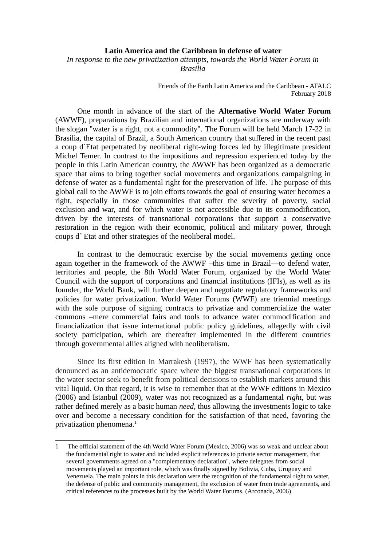## **Latin America and the Caribbean in defense of water**

*In response to the new privatization attempts, towards the World Water Forum in Brasilia*

> Friends of the Earth Latin America and the Caribbean - ATALC February 2018

One month in advance of the start of the **Alternative World Water Forum** (AWWF), preparations by Brazilian and international organizations are underway with the slogan "water is a right, not a commodity". The Forum will be held March 17-22 in Brasilia, the capital of Brazil, a South American country that suffered in the recent past a coup d´Etat perpetrated by neoliberal right-wing forces led by illegitimate president Michel Temer. In contrast to the impositions and repression experienced today by the people in this Latin American country, the AWWF has been organized as a democratic space that aims to bring together social movements and organizations campaigning in defense of water as a fundamental right for the preservation of life. The purpose of this global call to the AWWF is to join efforts towards the goal of ensuring water becomes a right, especially in those communities that suffer the severity of poverty, social exclusion and war, and for which water is not accessible due to its commodification, driven by the interests of transnational corporations that support a conservative restoration in the region with their economic, political and military power, through coups d´ Etat and other strategies of the neoliberal model.

In contrast to the democratic exercise by the social movements getting once again together in the framework of the AWWF –this time in Brazil—to defend water, territories and people, the 8th World Water Forum, organized by the World Water Council with the support of corporations and financial institutions (IFIs), as well as its founder, the World Bank, will further deepen and negotiate regulatory frameworks and policies for water privatization. World Water Forums (WWF) are triennial meetings with the sole purpose of signing contracts to privatize and commercialize the water commons –mere commercial fairs and tools to advance water commodification and financialization that issue international public policy guidelines, allegedly with civil society participation, which are thereafter implemented in the different countries through governmental allies aligned with neoliberalism.

Since its first edition in Marrakesh (1997), the WWF has been systematically denounced as an antidemocratic space where the biggest transnational corporations in the water sector seek to benefit from political decisions to establish markets around this vital liquid. On that regard, it is wise to remember that at the WWF editions in Mexico (2006) and Istanbul (2009), water was not recognized as a fundamental *right*, but was rather defined merely as a basic human *need,* thus allowing the investments logic to take over and become a necessary condition for the satisfaction of that need, favoring the privatization phenomena.<sup>[1](#page-0-0)</sup>

<span id="page-0-0"></span><sup>1</sup> The official statement of the 4th World Water Forum (Mexico, 2006) was so weak and unclear about the fundamental right to water and included explicit references to private sector management, that several governments agreed on a "complementary declaration", where delegates from social movements played an important role, which was finally signed by Bolivia, Cuba, Uruguay and Venezuela. The main points in this declaration were the recognition of the fundamental right to water, the defense of public and community management, the exclusion of water from trade agreements, and critical references to the processes built by the World Water Forums. (Arconada, 2006)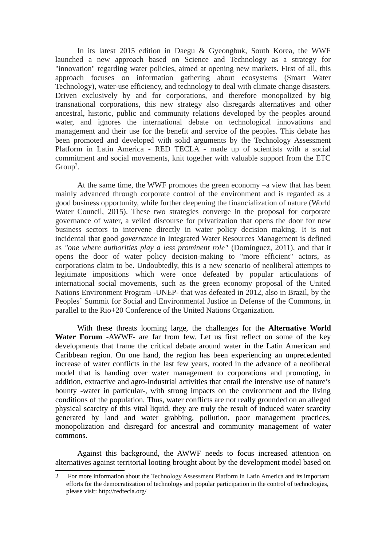In its latest 2015 edition in Daegu & Gyeongbuk, South Korea, the WWF launched a new approach based on Science and Technology as a strategy for "innovation" regarding water policies, aimed at opening new markets. First of all, this approach focuses on information gathering about ecosystems (Smart Water Technology), water-use efficiency, and technology to deal with climate change disasters. Driven exclusively by and for corporations, and therefore monopolized by big transnational corporations, this new strategy also disregards alternatives and other ancestral, historic, public and community relations developed by the peoples around water, and ignores the international debate on technological innovations and management and their use for the benefit and service of the peoples. This debate has been promoted and developed with solid arguments by the Technology Assessment Platform in Latin America - RED TECLA - made up of scientists with a social commitment and social movements, knit together with valuable support from the ETC  $Group<sup>2</sup>$  $Group<sup>2</sup>$  $Group<sup>2</sup>$ .

At the same time, the WWF promotes the green economy –a view that has been mainly advanced through corporate control of the environment and is regarded as a good business opportunity, while further deepening the financialization of nature (World Water Council, 2015). These two strategies converge in the proposal for corporate governance of water, a veiled discourse for privatization that opens the door for new business sectors to intervene directly in water policy decision making. It is not incidental that good *governance* in Integrated Water Resources Management is defined as *"one where authorities play a less prominent role"* (Domínguez, 2011), and that it opens the door of water policy decision-making to "more efficient" actors, as corporations claim to be. Undoubtedly, this is a new scenario of neoliberal attempts to legitimate impositions which were once defeated by popular articulations of international social movements, such as the green economy proposal of the United Nations Environment Program -UNEP- that was defeated in 2012, also in Brazil, by the Peoples´ Summit for Social and Environmental Justice in Defense of the Commons, in parallel to the Rio+20 Conference of the United Nations Organization.

With these threats looming large, the challenges for the **Alternative World Water Forum** -AWWF- are far from few. Let us first reflect on some of the key developments that frame the critical debate around water in the Latin American and Caribbean region. On one hand, the region has been experiencing an unprecedented increase of water conflicts in the last few years, rooted in the advance of a neoliberal model that is handing over water management to corporations and promoting, in addition, extractive and agro-industrial activities that entail the intensive use of nature's bounty -water in particular-, with strong impacts on the environment and the living conditions of the population. Thus, water conflicts are not really grounded on an alleged physical scarcity of this vital liquid, they are truly the result of induced water scarcity generated by land and water grabbing, pollution, poor management practices, monopolization and disregard for ancestral and community management of water commons.

Against this background, the AWWF needs to focus increased attention on alternatives against territorial looting brought about by the development model based on

<span id="page-1-0"></span><sup>2</sup> For more information about the Technology Assessment Platform in Latin America and its important efforts for the democratization of technology and popular participation in the control of technologies, please visit: http://redtecla.org/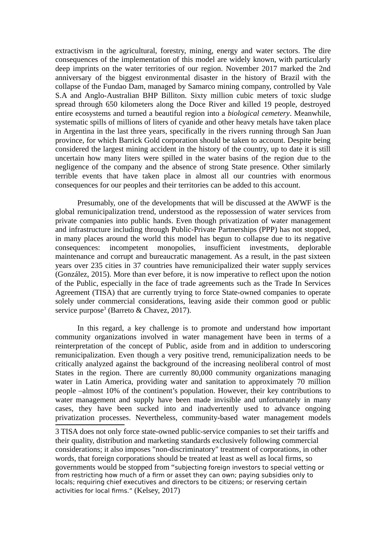extractivism in the agricultural, forestry, mining, energy and water sectors. The dire consequences of the implementation of this model are widely known, with particularly deep imprints on the water territories of our region. November 2017 marked the 2nd anniversary of the biggest environmental disaster in the history of Brazil with the collapse of the Fundao Dam, managed by Samarco mining company, controlled by Vale S.A and Anglo-Australian BHP Billiton. Sixty million cubic meters of toxic sludge spread through 650 kilometers along the Doce River and killed 19 people, destroyed entire ecosystems and turned a beautiful region into a *biological cemetery*. Meanwhile, systematic spills of millions of liters of cyanide and other heavy metals have taken place in Argentina in the last three years, specifically in the rivers running through San Juan province, for which Barrick Gold corporation should be taken to account. Despite being considered the largest mining accident in the history of the country, up to date it is still uncertain how many liters were spilled in the water basins of the region due to the negligence of the company and the absence of strong State presence. Other similarly terrible events that have taken place in almost all our countries with enormous consequences for our peoples and their territories can be added to this account.

Presumably, one of the developments that will be discussed at the AWWF is the global remunicipalization trend, understood as the repossession of water services from private companies into public hands. Even though privatization of water management and infrastructure including through Public-Private Partnerships (PPP) has not stopped, in many places around the world this model has begun to collapse due to its negative consequences: incompetent monopolies, insufficient investments, deplorable maintenance and corrupt and bureaucratic management. As a result, in the past sixteen years over 235 cities in 37 countries have remunicipalized their water supply services (González, 2015). More than ever before, it is now imperative to reflect upon the notion of the Public, especially in the face of trade agreements such as the Trade In Services Agreement (TISA) that are currently trying to force State-owned companies to operate solely under commercial considerations, leaving aside their common good or public service purpose<sup>[3](#page-2-0)</sup> (Barreto & Chavez, 2017).

In this regard, a key challenge is to promote and understand how important community organizations involved in water management have been in terms of a reinterpretation of the concept of Public, aside from and in addition to underscoring remunicipalization. Even though a very positive trend, remunicipalization needs to be critically analyzed against the background of the increasing neoliberal control of most States in the region. There are currently 80,000 community organizations managing water in Latin America, providing water and sanitation to approximately 70 million people –almost 10% of the continent's population. However, their key contributions to water management and supply have been made invisible and unfortunately in many cases, they have been sucked into and inadvertently used to advance ongoing privatization processes. Nevertheless, community-based water management models

<span id="page-2-0"></span>3 TISA does not only force state-owned public-service companies to set their tariffs and their quality, distribution and marketing standards exclusively following commercial considerations; it also imposes "non-discriminatory" treatment of corporations, in other words, that foreign corporations should be treated at least as well as local firms, so governments would be stopped from "subjecting foreign investors to special vetting or from restricting how much of a firm or asset they can own; paying subsidies only to locals; requiring chief executives and directors to be citizens; or reserving certain activities for local firms." (Kelsey, 2017)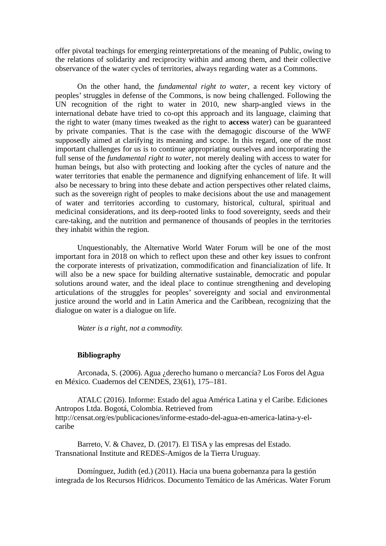offer pivotal teachings for emerging reinterpretations of the meaning of Public, owing to the relations of solidarity and reciprocity within and among them, and their collective observance of the water cycles of territories, always regarding water as a Commons.

On the other hand, the *fundamental right to water*, a recent key victory of peoples' struggles in defense of the Commons, is now being challenged. Following the UN recognition of the right to water in 2010, new sharp-angled views in the international debate have tried to co-opt this approach and its language, claiming that the right to water (many times tweaked as the right to **access** water) can be guaranteed by private companies. That is the case with the demagogic discourse of the WWF supposedly aimed at clarifying its meaning and scope. In this regard, one of the most important challenges for us is to continue appropriating ourselves and incorporating the full sense of the *fundamental right to water*, not merely dealing with access to water for human beings, but also with protecting and looking after the cycles of nature and the water territories that enable the permanence and dignifying enhancement of life. It will also be necessary to bring into these debate and action perspectives other related claims, such as the sovereign right of peoples to make decisions about the use and management of water and territories according to customary, historical, cultural, spiritual and medicinal considerations, and its deep-rooted links to food sovereignty, seeds and their care-taking, and the nutrition and permanence of thousands of peoples in the territories they inhabit within the region.

Unquestionably, the Alternative World Water Forum will be one of the most important fora in 2018 on which to reflect upon these and other key issues to confront the corporate interests of privatization, commodification and financialization of life. It will also be a new space for building alternative sustainable, democratic and popular solutions around water, and the ideal place to continue strengthening and developing articulations of the struggles for peoples' sovereignty and social and environmental justice around the world and in Latin America and the Caribbean, recognizing that the dialogue on water is a dialogue on life.

*Water is a right, not a commodity.*

## **Bibliography**

Arconada, S. (2006). Agua ¿derecho humano o mercancía? Los Foros del Agua en México. Cuadernos del CENDES, 23(61), 175–181.

ATALC (2016). Informe: Estado del agua América Latina y el Caribe. Ediciones Antropos Ltda. Bogotá, Colombia. Retrieved from http://censat.org/es/publicaciones/informe-estado-del-agua-en-america-latina-y-elcaribe

Barreto, V. & Chavez, D. (2017). El TiSA y las empresas del Estado. Transnational Institute and REDES-Amigos de la Tierra Uruguay.

Domínguez, Judith (ed.) (2011). Hacia una buena gobernanza para la gestión integrada de los Recursos Hídricos. Documento Temático de las Américas. Water Forum